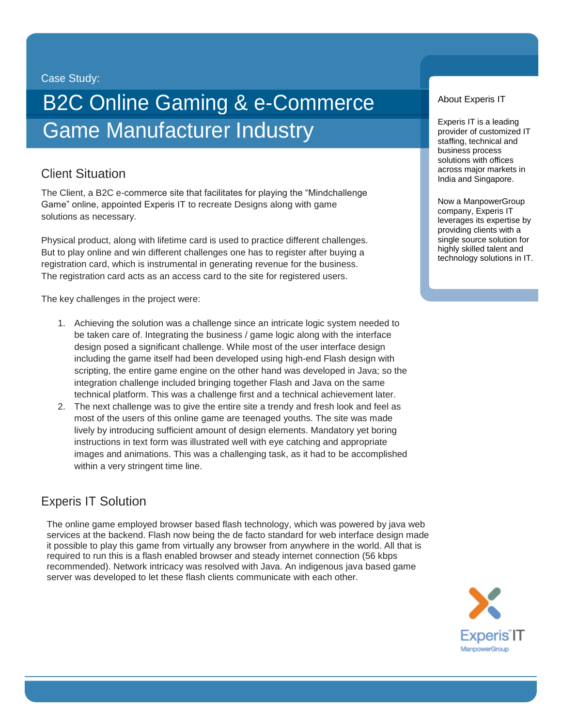Case Study:

# B2C Online Gaming & e-Commerce **Game Manufacturer Industry**

## Client Situation

The Client, a B2C e-commerce site that facilitates for playing the "Mindchallenge Game" online, appointed Experis IT to recreate Designs along with game solutions as necessary.

Physical product, along with lifetime card is used to practice different challenges. But to play online and win different challenges one has to register after buying a registration card, which is instrumental in generating revenue for the business. The registration card acts as an access card to the site for registered users.

The key challenges in the project were:

- 1. Achieving the solution was a challenge since an intricate logic system needed to be taken care of. Integrating the business / game logic along with the interface design posed a significant challenge. While most of the user interface design including the game itself had been developed using high-end Flash design with scripting, the entire game engine on the other hand was developed in Java; so the integration challenge included bringing together Flash and Java on the same technical platform. This was a challenge first and a technical achievement later.
- 2. The next challenge was to give the entire site a trendy and fresh look and feel as most of the users of this online game are teenaged youths. The site was made lively by introducing sufficient amount of design elements. Mandatory yet boring instructions in text form was illustrated well with eye catching and appropriate images and animations. This was a challenging task, as it had to be accomplished within a very stringent time line.

### Experis IT Solution

The online game employed browser based flash technology, which was powered by java web services at the backend. Flash now being the de facto standard for web interface design made it possible to play this game from virtually any browser from anywhere in the world. All that is required to run this is a flash enabled browser and steady internet connection (56 kbps recommended). Network intricacy was resolved with Java. An indigenous java based game server was developed to let these flash clients communicate with each other.

About Experis IT

Experis IT is a leading provider of customized IT staffing, technical and business process solutions with offices across major markets in India and Singapore.

Now a ManpowerGroup company, Experis IT leverages its expertise by providing clients with a single source solution for highly skilled talent and technology solutions in IT.